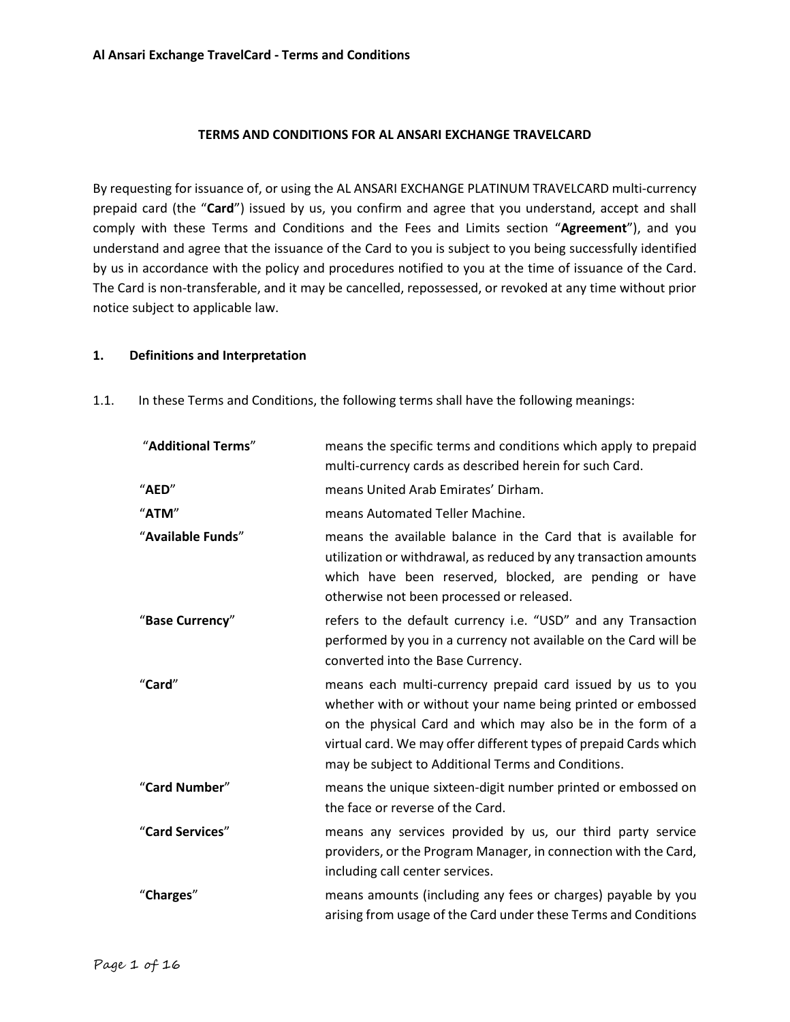#### **TERMS AND CONDITIONS FOR AL ANSARI EXCHANGE TRAVELCARD**

By requesting for issuance of, or using the AL ANSARI EXCHANGE PLATINUM TRAVELCARD multi-currency prepaid card (the "**Card**") issued by us, you confirm and agree that you understand, accept and shall comply with these Terms and Conditions and the Fees and Limits section "**Agreement**"), and you understand and agree that the issuance of the Card to you is subject to you being successfully identified by us in accordance with the policy and procedures notified to you at the time of issuance of the Card. The Card is non-transferable, and it may be cancelled, repossessed, or revoked at any time without prior notice subject to applicable law.

#### **1. Definitions and Interpretation**

| "Additional Terms" | means the specific terms and conditions which apply to prepaid<br>multi-currency cards as described herein for such Card.                                                                                                                                                                                           |
|--------------------|---------------------------------------------------------------------------------------------------------------------------------------------------------------------------------------------------------------------------------------------------------------------------------------------------------------------|
| "AED"              | means United Arab Emirates' Dirham.                                                                                                                                                                                                                                                                                 |
| "ATM"              | means Automated Teller Machine.                                                                                                                                                                                                                                                                                     |
| "Available Funds"  | means the available balance in the Card that is available for<br>utilization or withdrawal, as reduced by any transaction amounts<br>which have been reserved, blocked, are pending or have<br>otherwise not been processed or released.                                                                            |
| "Base Currency"    | refers to the default currency i.e. "USD" and any Transaction<br>performed by you in a currency not available on the Card will be<br>converted into the Base Currency.                                                                                                                                              |
| "Card"             | means each multi-currency prepaid card issued by us to you<br>whether with or without your name being printed or embossed<br>on the physical Card and which may also be in the form of a<br>virtual card. We may offer different types of prepaid Cards which<br>may be subject to Additional Terms and Conditions. |
| "Card Number"      | means the unique sixteen-digit number printed or embossed on<br>the face or reverse of the Card.                                                                                                                                                                                                                    |
| "Card Services"    | means any services provided by us, our third party service<br>providers, or the Program Manager, in connection with the Card,<br>including call center services.                                                                                                                                                    |
| "Charges"          | means amounts (including any fees or charges) payable by you<br>arising from usage of the Card under these Terms and Conditions                                                                                                                                                                                     |

1.1. In these Terms and Conditions, the following terms shall have the following meanings: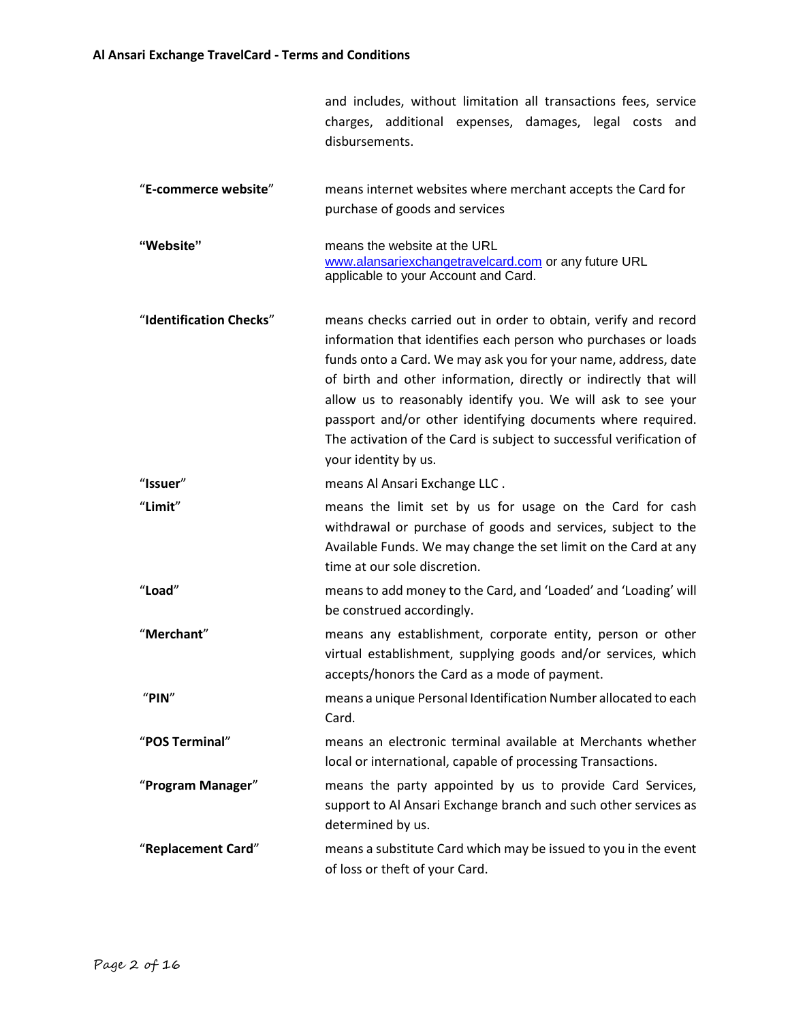|                |  |  | and includes, without limitation all transactions fees, service |  |  |  |  |
|----------------|--|--|-----------------------------------------------------------------|--|--|--|--|
|                |  |  | charges, additional expenses, damages, legal costs and          |  |  |  |  |
| disbursements. |  |  |                                                                 |  |  |  |  |

| "E-commerce website" | means internet websites where merchant accepts the Card for |
|----------------------|-------------------------------------------------------------|
|                      | purchase of goods and services                              |

- **"Website"** means the website at the URL [www.alansariexchangetravelcard.com](http://www.alansariexchangetravelcard.com/) or any future URL applicable to your Account and Card.
- "**Identification Checks**" means checks carried out in order to obtain, verify and record information that identifies each person who purchases or loads funds onto a Card. We may ask you for your name, address, date of birth and other information, directly or indirectly that will allow us to reasonably identify you. We will ask to see your passport and/or other identifying documents where required. The activation of the Card is subject to successful verification of your identity by us.
- "**Issuer**" means Al Ansari Exchange LLC .
- "**Limit**" means the limit set by us for usage on the Card for cash withdrawal or purchase of goods and services, subject to the Available Funds. We may change the set limit on the Card at any time at our sole discretion.
- "**Load**" means to add money to the Card, and 'Loaded' and 'Loading' will be construed accordingly.
- "**Merchant**" means any establishment, corporate entity, person or other virtual establishment, supplying goods and/or services, which accepts/honors the Card as a mode of payment.
- "**PIN**" means a unique Personal Identification Number allocated to each Card.
- "**POS Terminal**" means an electronic terminal available at Merchants whether local or international, capable of processing Transactions.
- "**Program Manager**" means the party appointed by us to provide Card Services, support to Al Ansari Exchange branch and such other services as determined by us.
- "**Replacement Card**" means a substitute Card which may be issued to you in the event of loss or theft of your Card.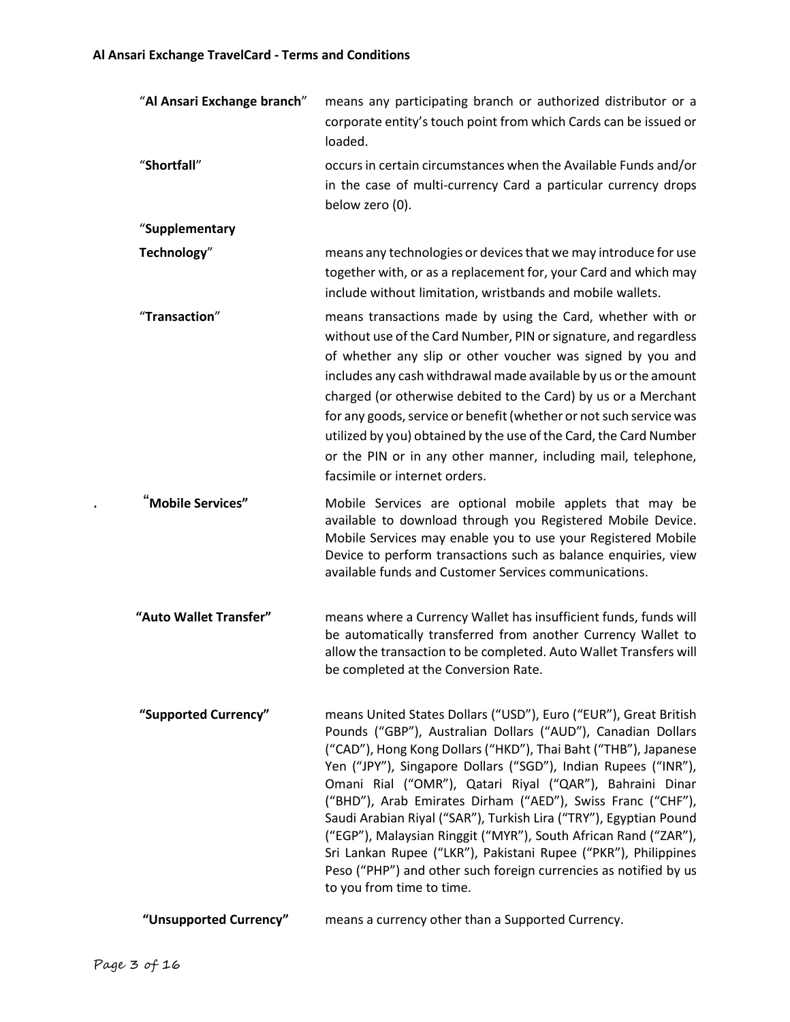| "Al Ansari Exchange branch" | means any participating branch or authorized distributor or a<br>corporate entity's touch point from which Cards can be issued or<br>loaded.                                                                                                                                                                                                                                                                                                                                                                                                                                                                                                                                                                |
|-----------------------------|-------------------------------------------------------------------------------------------------------------------------------------------------------------------------------------------------------------------------------------------------------------------------------------------------------------------------------------------------------------------------------------------------------------------------------------------------------------------------------------------------------------------------------------------------------------------------------------------------------------------------------------------------------------------------------------------------------------|
| "Shortfall"                 | occurs in certain circumstances when the Available Funds and/or<br>in the case of multi-currency Card a particular currency drops<br>below zero (0).                                                                                                                                                                                                                                                                                                                                                                                                                                                                                                                                                        |
| "Supplementary              |                                                                                                                                                                                                                                                                                                                                                                                                                                                                                                                                                                                                                                                                                                             |
| Technology"                 | means any technologies or devices that we may introduce for use<br>together with, or as a replacement for, your Card and which may<br>include without limitation, wristbands and mobile wallets.                                                                                                                                                                                                                                                                                                                                                                                                                                                                                                            |
| "Transaction"               | means transactions made by using the Card, whether with or<br>without use of the Card Number, PIN or signature, and regardless<br>of whether any slip or other voucher was signed by you and<br>includes any cash withdrawal made available by us or the amount<br>charged (or otherwise debited to the Card) by us or a Merchant<br>for any goods, service or benefit (whether or not such service was<br>utilized by you) obtained by the use of the Card, the Card Number<br>or the PIN or in any other manner, including mail, telephone,<br>facsimile or internet orders.                                                                                                                              |
| Mobile Services"            | Mobile Services are optional mobile applets that may be<br>available to download through you Registered Mobile Device.<br>Mobile Services may enable you to use your Registered Mobile<br>Device to perform transactions such as balance enquiries, view<br>available funds and Customer Services communications.                                                                                                                                                                                                                                                                                                                                                                                           |
| "Auto Wallet Transfer"      | means where a Currency Wallet has insufficient funds, funds will<br>be automatically transferred from another Currency Wallet to<br>allow the transaction to be completed. Auto Wallet Transfers will<br>be completed at the Conversion Rate.                                                                                                                                                                                                                                                                                                                                                                                                                                                               |
| "Supported Currency"        | means United States Dollars ("USD"), Euro ("EUR"), Great British<br>Pounds ("GBP"), Australian Dollars ("AUD"), Canadian Dollars<br>("CAD"), Hong Kong Dollars ("HKD"), Thai Baht ("THB"), Japanese<br>Yen ("JPY"), Singapore Dollars ("SGD"), Indian Rupees ("INR"),<br>Omani Rial ("OMR"), Qatari Riyal ("QAR"), Bahraini Dinar<br>("BHD"), Arab Emirates Dirham ("AED"), Swiss Franc ("CHF"),<br>Saudi Arabian Riyal ("SAR"), Turkish Lira ("TRY"), Egyptian Pound<br>("EGP"), Malaysian Ringgit ("MYR"), South African Rand ("ZAR"),<br>Sri Lankan Rupee ("LKR"), Pakistani Rupee ("PKR"), Philippines<br>Peso ("PHP") and other such foreign currencies as notified by us<br>to you from time to time. |
| "Unsupported Currency"      | means a currency other than a Supported Currency.                                                                                                                                                                                                                                                                                                                                                                                                                                                                                                                                                                                                                                                           |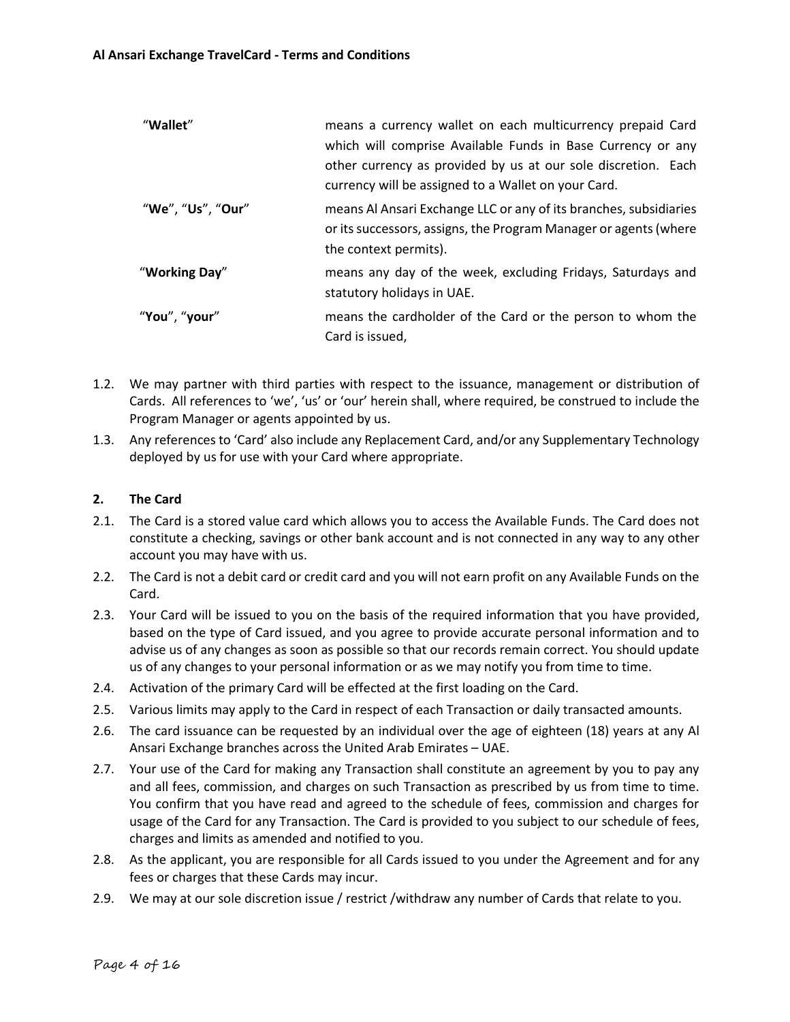| means a currency wallet on each multicurrency prepaid Card                                                                                                     |
|----------------------------------------------------------------------------------------------------------------------------------------------------------------|
| which will comprise Available Funds in Base Currency or any                                                                                                    |
| other currency as provided by us at our sole discretion. Each<br>currency will be assigned to a Wallet on your Card.                                           |
| means Al Ansari Exchange LLC or any of its branches, subsidiaries<br>or its successors, assigns, the Program Manager or agents (where<br>the context permits). |
| means any day of the week, excluding Fridays, Saturdays and<br>statutory holidays in UAE.                                                                      |
| means the cardholder of the Card or the person to whom the<br>Card is issued,                                                                                  |
|                                                                                                                                                                |

- 1.2. We may partner with third parties with respect to the issuance, management or distribution of Cards. All references to 'we', 'us' or 'our' herein shall, where required, be construed to include the Program Manager or agents appointed by us.
- 1.3. Any references to 'Card' also include any Replacement Card, and/or any Supplementary Technology deployed by us for use with your Card where appropriate.

# **2. The Card**

- 2.1. The Card is a stored value card which allows you to access the Available Funds. The Card does not constitute a checking, savings or other bank account and is not connected in any way to any other account you may have with us.
- 2.2. The Card is not a debit card or credit card and you will not earn profit on any Available Funds on the Card.
- 2.3. Your Card will be issued to you on the basis of the required information that you have provided, based on the type of Card issued, and you agree to provide accurate personal information and to advise us of any changes as soon as possible so that our records remain correct. You should update us of any changes to your personal information or as we may notify you from time to time.
- 2.4. Activation of the primary Card will be effected at the first loading on the Card.
- 2.5. Various limits may apply to the Card in respect of each Transaction or daily transacted amounts.
- 2.6. The card issuance can be requested by an individual over the age of eighteen (18) years at any Al Ansari Exchange branches across the United Arab Emirates – UAE.
- 2.7. Your use of the Card for making any Transaction shall constitute an agreement by you to pay any and all fees, commission, and charges on such Transaction as prescribed by us from time to time. You confirm that you have read and agreed to the schedule of fees, commission and charges for usage of the Card for any Transaction. The Card is provided to you subject to our schedule of fees, charges and limits as amended and notified to you.
- 2.8. As the applicant, you are responsible for all Cards issued to you under the Agreement and for any fees or charges that these Cards may incur.
- 2.9. We may at our sole discretion issue / restrict /withdraw any number of Cards that relate to you.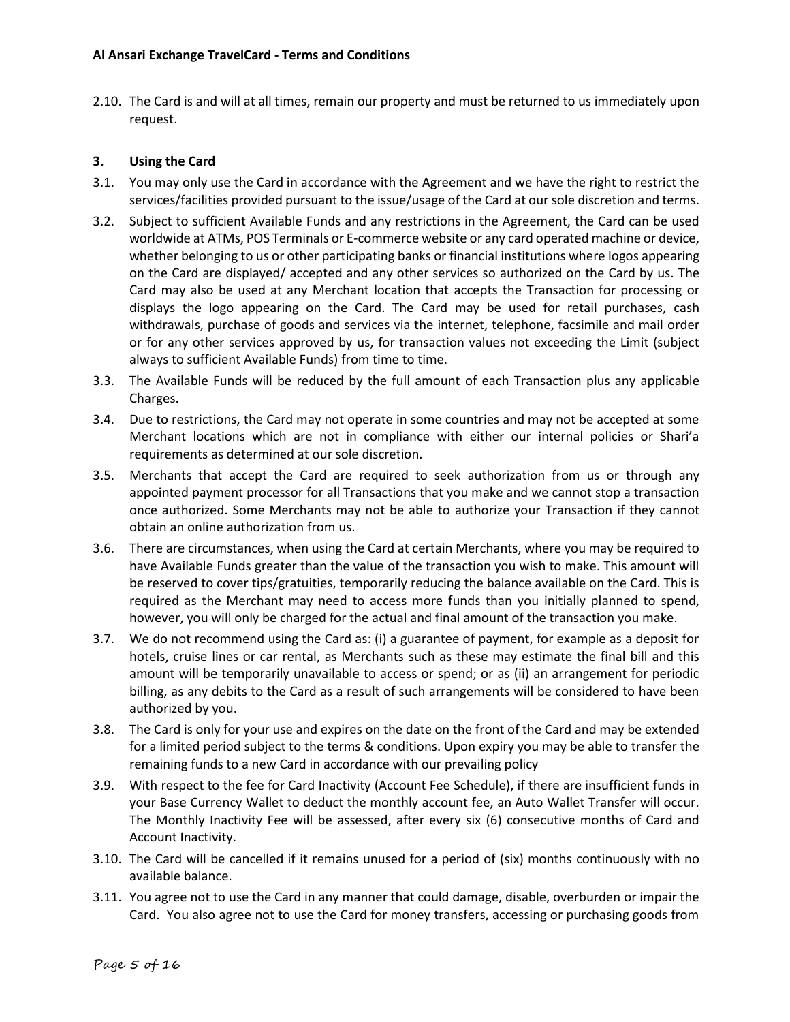2.10. The Card is and will at all times, remain our property and must be returned to us immediately upon request.

## **3. Using the Card**

- 3.1. You may only use the Card in accordance with the Agreement and we have the right to restrict the services/facilities provided pursuant to the issue/usage of the Card at our sole discretion and terms.
- 3.2. Subject to sufficient Available Funds and any restrictions in the Agreement, the Card can be used worldwide at ATMs, POS Terminals or E-commerce website or any card operated machine or device, whether belonging to us or other participating banks or financial institutions where logos appearing on the Card are displayed/ accepted and any other services so authorized on the Card by us. The Card may also be used at any Merchant location that accepts the Transaction for processing or displays the logo appearing on the Card. The Card may be used for retail purchases, cash withdrawals, purchase of goods and services via the internet, telephone, facsimile and mail order or for any other services approved by us, for transaction values not exceeding the Limit (subject always to sufficient Available Funds) from time to time.
- 3.3. The Available Funds will be reduced by the full amount of each Transaction plus any applicable Charges.
- 3.4. Due to restrictions, the Card may not operate in some countries and may not be accepted at some Merchant locations which are not in compliance with either our internal policies or Shari'a requirements as determined at our sole discretion.
- 3.5. Merchants that accept the Card are required to seek authorization from us or through any appointed payment processor for all Transactions that you make and we cannot stop a transaction once authorized. Some Merchants may not be able to authorize your Transaction if they cannot obtain an online authorization from us.
- 3.6. There are circumstances, when using the Card at certain Merchants, where you may be required to have Available Funds greater than the value of the transaction you wish to make. This amount will be reserved to cover tips/gratuities, temporarily reducing the balance available on the Card. This is required as the Merchant may need to access more funds than you initially planned to spend, however, you will only be charged for the actual and final amount of the transaction you make.
- 3.7. We do not recommend using the Card as: (i) a guarantee of payment, for example as a deposit for hotels, cruise lines or car rental, as Merchants such as these may estimate the final bill and this amount will be temporarily unavailable to access or spend; or as (ii) an arrangement for periodic billing, as any debits to the Card as a result of such arrangements will be considered to have been authorized by you.
- 3.8. The Card is only for your use and expires on the date on the front of the Card and may be extended for a limited period subject to the terms & conditions. Upon expiry you may be able to transfer the remaining funds to a new Card in accordance with our prevailing policy
- 3.9. With respect to the fee for Card Inactivity (Account Fee Schedule), if there are insufficient funds in your Base Currency Wallet to deduct the monthly account fee, an Auto Wallet Transfer will occur. The Monthly Inactivity Fee will be assessed, after every six (6) consecutive months of Card and Account Inactivity.
- 3.10. The Card will be cancelled if it remains unused for a period of (six) months continuously with no available balance.
- 3.11. You agree not to use the Card in any manner that could damage, disable, overburden or impair the Card. You also agree not to use the Card for money transfers, accessing or purchasing goods from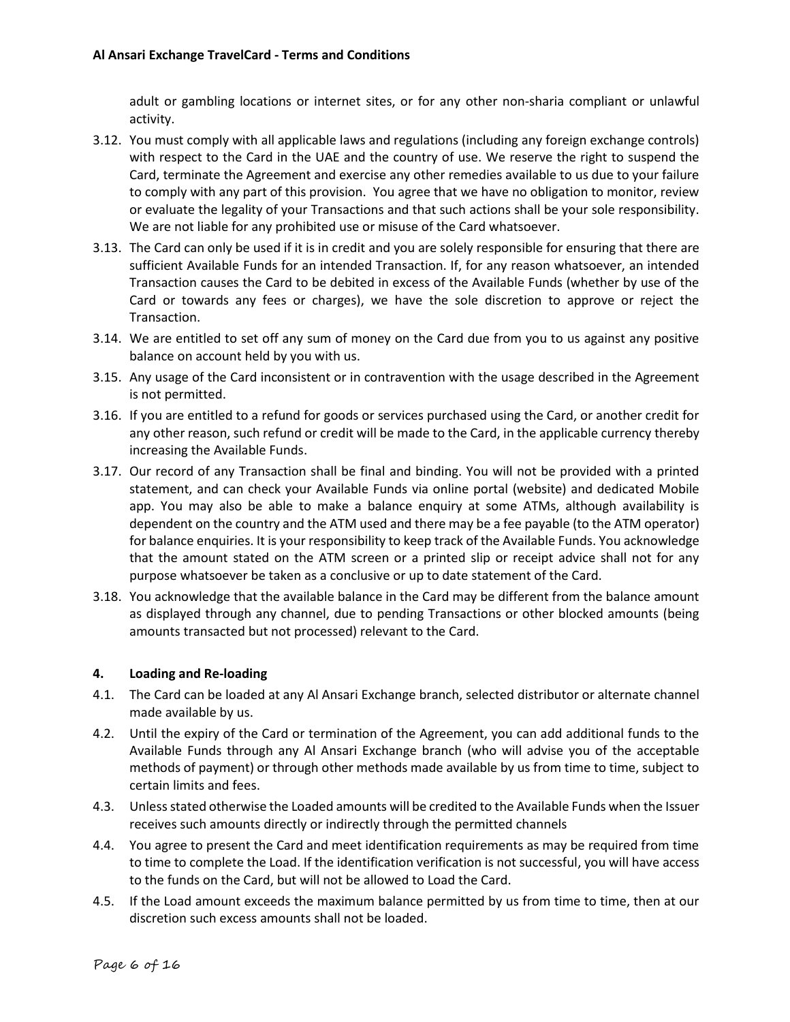adult or gambling locations or internet sites, or for any other non-sharia compliant or unlawful activity.

- 3.12. You must comply with all applicable laws and regulations (including any foreign exchange controls) with respect to the Card in the UAE and the country of use. We reserve the right to suspend the Card, terminate the Agreement and exercise any other remedies available to us due to your failure to comply with any part of this provision. You agree that we have no obligation to monitor, review or evaluate the legality of your Transactions and that such actions shall be your sole responsibility. We are not liable for any prohibited use or misuse of the Card whatsoever.
- 3.13. The Card can only be used if it is in credit and you are solely responsible for ensuring that there are sufficient Available Funds for an intended Transaction. If, for any reason whatsoever, an intended Transaction causes the Card to be debited in excess of the Available Funds (whether by use of the Card or towards any fees or charges), we have the sole discretion to approve or reject the Transaction.
- 3.14. We are entitled to set off any sum of money on the Card due from you to us against any positive balance on account held by you with us.
- 3.15. Any usage of the Card inconsistent or in contravention with the usage described in the Agreement is not permitted.
- 3.16. If you are entitled to a refund for goods or services purchased using the Card, or another credit for any other reason, such refund or credit will be made to the Card, in the applicable currency thereby increasing the Available Funds.
- 3.17. Our record of any Transaction shall be final and binding. You will not be provided with a printed statement, and can check your Available Funds via online portal (website) and dedicated Mobile app. You may also be able to make a balance enquiry at some ATMs, although availability is dependent on the country and the ATM used and there may be a fee payable (to the ATM operator) for balance enquiries. It is your responsibility to keep track of the Available Funds. You acknowledge that the amount stated on the ATM screen or a printed slip or receipt advice shall not for any purpose whatsoever be taken as a conclusive or up to date statement of the Card.
- 3.18. You acknowledge that the available balance in the Card may be different from the balance amount as displayed through any channel, due to pending Transactions or other blocked amounts (being amounts transacted but not processed) relevant to the Card.

## **4. Loading and Re-loading**

- 4.1. The Card can be loaded at any Al Ansari Exchange branch, selected distributor or alternate channel made available by us.
- 4.2. Until the expiry of the Card or termination of the Agreement, you can add additional funds to the Available Funds through any Al Ansari Exchange branch (who will advise you of the acceptable methods of payment) or through other methods made available by us from time to time, subject to certain limits and fees.
- 4.3. Unless stated otherwise the Loaded amounts will be credited to the Available Funds when the Issuer receives such amounts directly or indirectly through the permitted channels
- 4.4. You agree to present the Card and meet identification requirements as may be required from time to time to complete the Load. If the identification verification is not successful, you will have access to the funds on the Card, but will not be allowed to Load the Card.
- 4.5. If the Load amount exceeds the maximum balance permitted by us from time to time, then at our discretion such excess amounts shall not be loaded.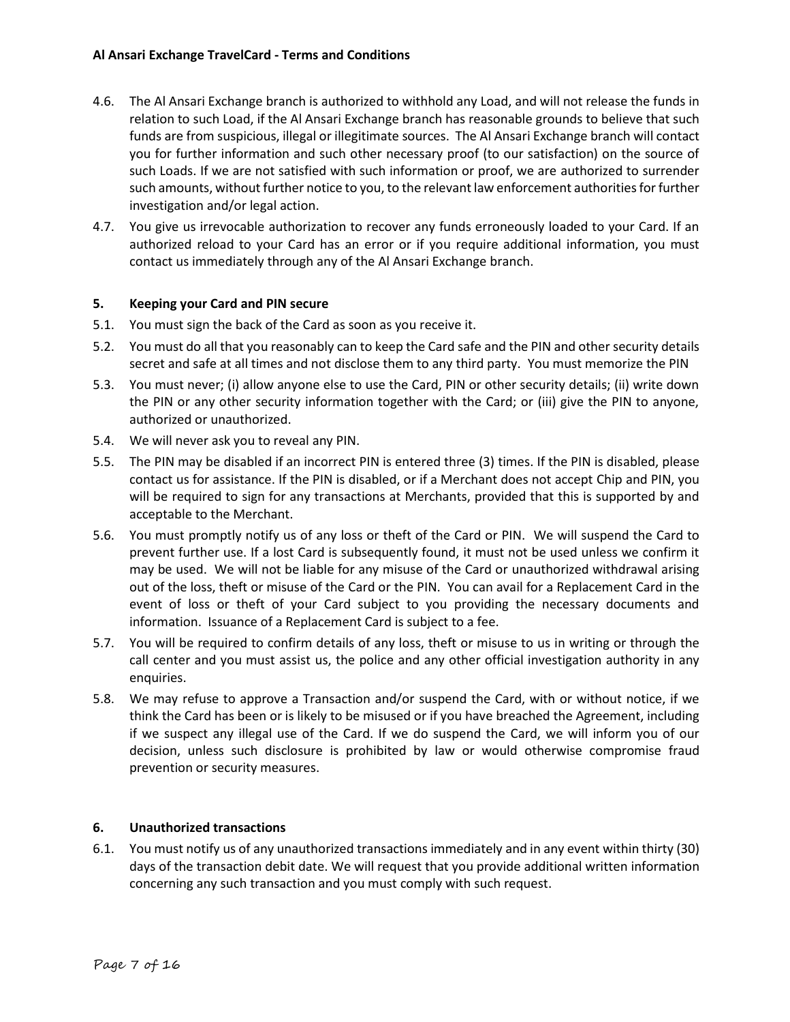- 4.6. The Al Ansari Exchange branch is authorized to withhold any Load, and will not release the funds in relation to such Load, if the Al Ansari Exchange branch has reasonable grounds to believe that such funds are from suspicious, illegal or illegitimate sources. The Al Ansari Exchange branch will contact you for further information and such other necessary proof (to our satisfaction) on the source of such Loads. If we are not satisfied with such information or proof, we are authorized to surrender such amounts, without further notice to you, to the relevant law enforcement authorities for further investigation and/or legal action.
- 4.7. You give us irrevocable authorization to recover any funds erroneously loaded to your Card. If an authorized reload to your Card has an error or if you require additional information, you must contact us immediately through any of the Al Ansari Exchange branch.

## **5. Keeping your Card and PIN secure**

- 5.1. You must sign the back of the Card as soon as you receive it.
- 5.2. You must do all that you reasonably can to keep the Card safe and the PIN and other security details secret and safe at all times and not disclose them to any third party. You must memorize the PIN
- 5.3. You must never; (i) allow anyone else to use the Card, PIN or other security details; (ii) write down the PIN or any other security information together with the Card; or (iii) give the PIN to anyone, authorized or unauthorized.
- 5.4. We will never ask you to reveal any PIN.
- 5.5. The PIN may be disabled if an incorrect PIN is entered three (3) times. If the PIN is disabled, please contact us for assistance. If the PIN is disabled, or if a Merchant does not accept Chip and PIN, you will be required to sign for any transactions at Merchants, provided that this is supported by and acceptable to the Merchant.
- 5.6. You must promptly notify us of any loss or theft of the Card or PIN. We will suspend the Card to prevent further use. If a lost Card is subsequently found, it must not be used unless we confirm it may be used. We will not be liable for any misuse of the Card or unauthorized withdrawal arising out of the loss, theft or misuse of the Card or the PIN. You can avail for a Replacement Card in the event of loss or theft of your Card subject to you providing the necessary documents and information. Issuance of a Replacement Card is subject to a fee.
- 5.7. You will be required to confirm details of any loss, theft or misuse to us in writing or through the call center and you must assist us, the police and any other official investigation authority in any enquiries.
- 5.8. We may refuse to approve a Transaction and/or suspend the Card, with or without notice, if we think the Card has been or is likely to be misused or if you have breached the Agreement, including if we suspect any illegal use of the Card. If we do suspend the Card, we will inform you of our decision, unless such disclosure is prohibited by law or would otherwise compromise fraud prevention or security measures.

## **6. Unauthorized transactions**

6.1. You must notify us of any unauthorized transactions immediately and in any event within thirty (30) days of the transaction debit date. We will request that you provide additional written information concerning any such transaction and you must comply with such request.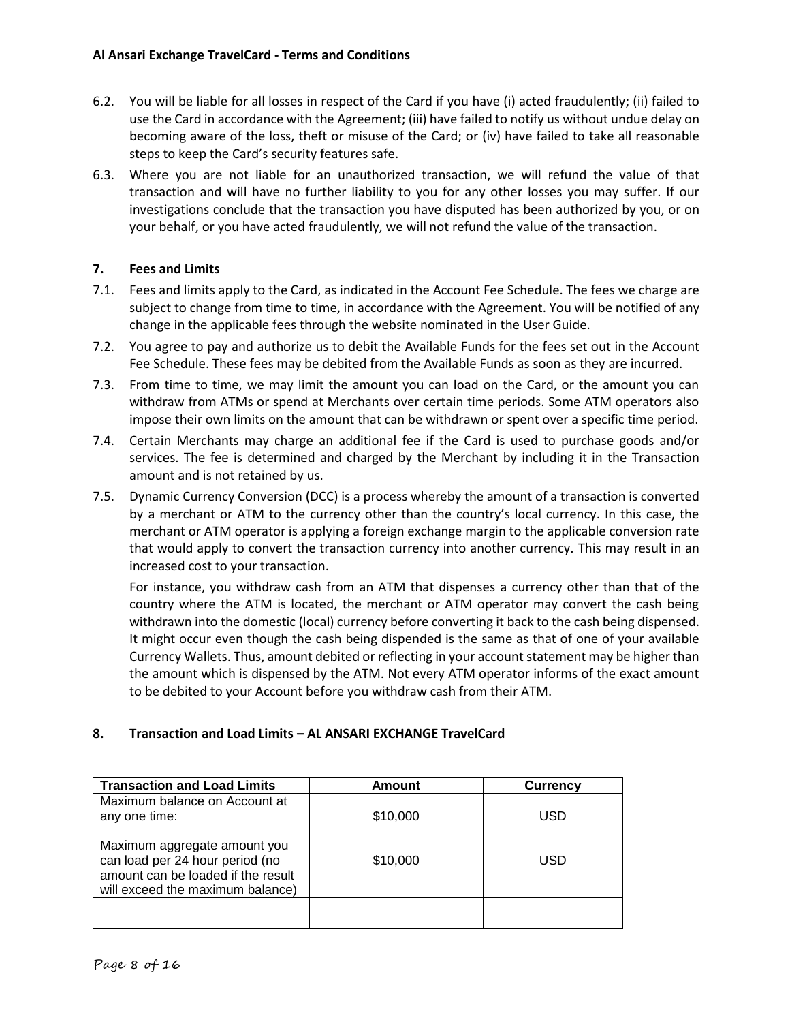- 6.2. You will be liable for all losses in respect of the Card if you have (i) acted fraudulently; (ii) failed to use the Card in accordance with the Agreement; (iii) have failed to notify us without undue delay on becoming aware of the loss, theft or misuse of the Card; or (iv) have failed to take all reasonable steps to keep the Card's security features safe.
- 6.3. Where you are not liable for an unauthorized transaction, we will refund the value of that transaction and will have no further liability to you for any other losses you may suffer. If our investigations conclude that the transaction you have disputed has been authorized by you, or on your behalf, or you have acted fraudulently, we will not refund the value of the transaction.

## **7. Fees and Limits**

- 7.1. Fees and limits apply to the Card, as indicated in the Account Fee Schedule. The fees we charge are subject to change from time to time, in accordance with the Agreement. You will be notified of any change in the applicable fees through the website nominated in the User Guide.
- 7.2. You agree to pay and authorize us to debit the Available Funds for the fees set out in the Account Fee Schedule. These fees may be debited from the Available Funds as soon as they are incurred.
- 7.3. From time to time, we may limit the amount you can load on the Card, or the amount you can withdraw from ATMs or spend at Merchants over certain time periods. Some ATM operators also impose their own limits on the amount that can be withdrawn or spent over a specific time period.
- 7.4. Certain Merchants may charge an additional fee if the Card is used to purchase goods and/or services. The fee is determined and charged by the Merchant by including it in the Transaction amount and is not retained by us.
- 7.5. Dynamic Currency Conversion (DCC) is a process whereby the amount of a transaction is converted by a merchant or ATM to the currency other than the country's local currency. In this case, the merchant or ATM operator is applying a foreign exchange margin to the applicable conversion rate that would apply to convert the transaction currency into another currency. This may result in an increased cost to your transaction.

For instance, you withdraw cash from an ATM that dispenses a currency other than that of the country where the ATM is located, the merchant or ATM operator may convert the cash being withdrawn into the domestic (local) currency before converting it back to the cash being dispensed. It might occur even though the cash being dispended is the same as that of one of your available Currency Wallets. Thus, amount debited or reflecting in your account statement may be higher than the amount which is dispensed by the ATM. Not every ATM operator informs of the exact amount to be debited to your Account before you withdraw cash from their ATM.

## **8. Transaction and Load Limits – AL ANSARI EXCHANGE TravelCard**

| <b>Transaction and Load Limits</b>                                                                                                        | Amount   | <b>Currency</b> |
|-------------------------------------------------------------------------------------------------------------------------------------------|----------|-----------------|
| Maximum balance on Account at<br>any one time:                                                                                            | \$10,000 | USD             |
| Maximum aggregate amount you<br>can load per 24 hour period (no<br>amount can be loaded if the result<br>will exceed the maximum balance) | \$10,000 | USD             |
|                                                                                                                                           |          |                 |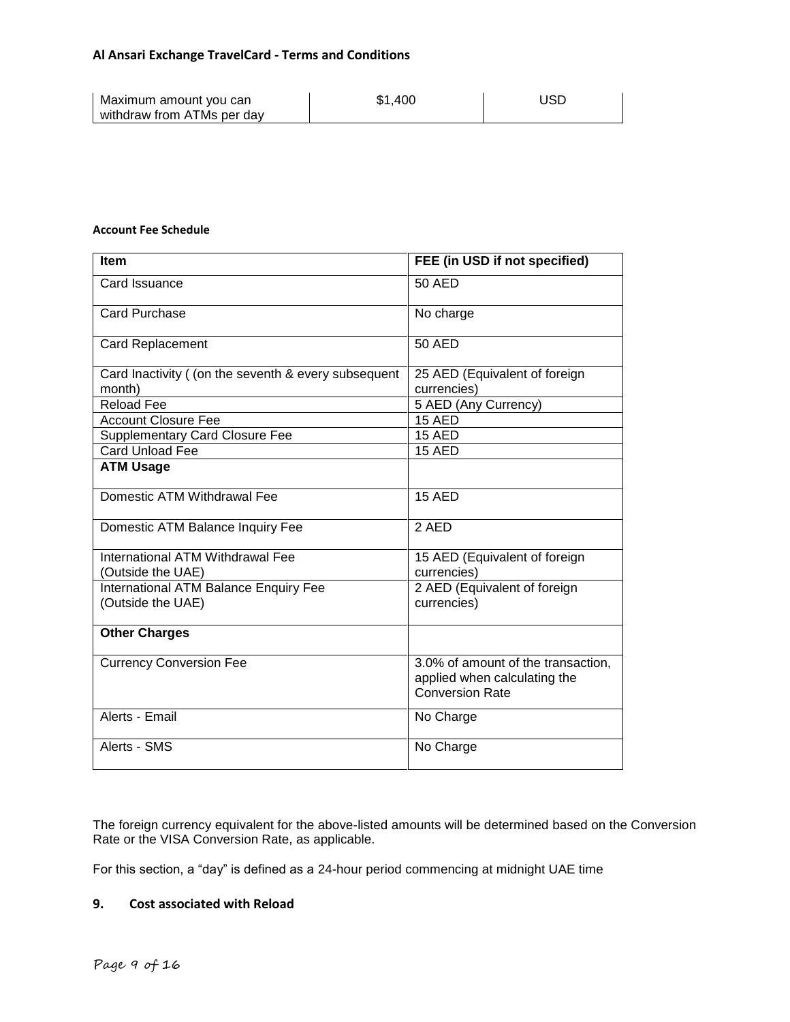| Maximum amount you can     | \$1.400 | USD |
|----------------------------|---------|-----|
| withdraw from ATMs per day |         |     |

# **Account Fee Schedule**

| Item                                                       | FEE (in USD if not specified)                                                                |
|------------------------------------------------------------|----------------------------------------------------------------------------------------------|
| Card Issuance                                              | 50 AED                                                                                       |
| Card Purchase                                              | No charge                                                                                    |
| <b>Card Replacement</b>                                    | 50 AED                                                                                       |
| Card Inactivity ( (on the seventh & every subsequent       | 25 AED (Equivalent of foreign                                                                |
| month)                                                     | currencies)                                                                                  |
| <b>Reload Fee</b>                                          | 5 AED (Any Currency)                                                                         |
| <b>Account Closure Fee</b>                                 | 15 AED                                                                                       |
| <b>Supplementary Card Closure Fee</b>                      | 15 AED                                                                                       |
| Card Unload Fee                                            | 15 AED                                                                                       |
| <b>ATM Usage</b>                                           |                                                                                              |
| Domestic ATM Withdrawal Fee                                | <b>15 AED</b>                                                                                |
| Domestic ATM Balance Inquiry Fee                           | 2 AED                                                                                        |
| International ATM Withdrawal Fee                           | 15 AED (Equivalent of foreign                                                                |
| (Outside the UAE)                                          | currencies)                                                                                  |
| International ATM Balance Enquiry Fee<br>(Outside the UAE) | 2 AED (Equivalent of foreign<br>currencies)                                                  |
| <b>Other Charges</b>                                       |                                                                                              |
| <b>Currency Conversion Fee</b>                             | 3.0% of amount of the transaction,<br>applied when calculating the<br><b>Conversion Rate</b> |
| Alerts - Email                                             | No Charge                                                                                    |
| Alerts - SMS                                               | No Charge                                                                                    |

The foreign currency equivalent for the above-listed amounts will be determined based on the Conversion Rate or the VISA Conversion Rate, as applicable.

For this section, a "day" is defined as a 24-hour period commencing at midnight UAE time

### **9. Cost associated with Reload**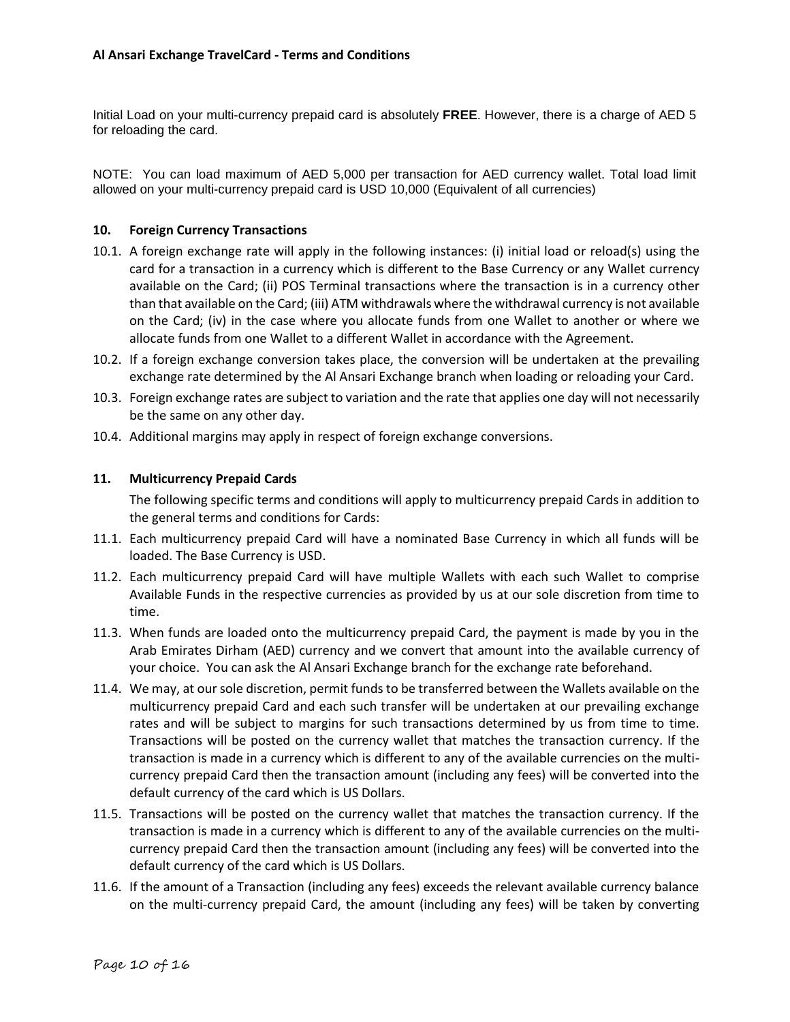Initial Load on your multi-currency prepaid card is absolutely **FREE**. However, there is a charge of AED 5 for reloading the card.

NOTE: You can load maximum of AED 5,000 per transaction for AED currency wallet. Total load limit allowed on your multi-currency prepaid card is USD 10,000 (Equivalent of all currencies)

### **10. Foreign Currency Transactions**

- 10.1. A foreign exchange rate will apply in the following instances: (i) initial load or reload(s) using the card for a transaction in a currency which is different to the Base Currency or any Wallet currency available on the Card; (ii) POS Terminal transactions where the transaction is in a currency other than that available on the Card; (iii) ATM withdrawals where the withdrawal currency is not available on the Card; (iv) in the case where you allocate funds from one Wallet to another or where we allocate funds from one Wallet to a different Wallet in accordance with the Agreement.
- 10.2. If a foreign exchange conversion takes place, the conversion will be undertaken at the prevailing exchange rate determined by the Al Ansari Exchange branch when loading or reloading your Card.
- 10.3. Foreign exchange rates are subject to variation and the rate that applies one day will not necessarily be the same on any other day.
- 10.4. Additional margins may apply in respect of foreign exchange conversions.

### **11. Multicurrency Prepaid Cards**

The following specific terms and conditions will apply to multicurrency prepaid Cards in addition to the general terms and conditions for Cards:

- 11.1. Each multicurrency prepaid Card will have a nominated Base Currency in which all funds will be loaded. The Base Currency is USD.
- 11.2. Each multicurrency prepaid Card will have multiple Wallets with each such Wallet to comprise Available Funds in the respective currencies as provided by us at our sole discretion from time to time.
- 11.3. When funds are loaded onto the multicurrency prepaid Card, the payment is made by you in the Arab Emirates Dirham (AED) currency and we convert that amount into the available currency of your choice. You can ask the Al Ansari Exchange branch for the exchange rate beforehand.
- 11.4. We may, at our sole discretion, permit funds to be transferred between the Wallets available on the multicurrency prepaid Card and each such transfer will be undertaken at our prevailing exchange rates and will be subject to margins for such transactions determined by us from time to time. Transactions will be posted on the currency wallet that matches the transaction currency. If the transaction is made in a currency which is different to any of the available currencies on the multicurrency prepaid Card then the transaction amount (including any fees) will be converted into the default currency of the card which is US Dollars.
- 11.5. Transactions will be posted on the currency wallet that matches the transaction currency. If the transaction is made in a currency which is different to any of the available currencies on the multicurrency prepaid Card then the transaction amount (including any fees) will be converted into the default currency of the card which is US Dollars.
- 11.6. If the amount of a Transaction (including any fees) exceeds the relevant available currency balance on the multi-currency prepaid Card, the amount (including any fees) will be taken by converting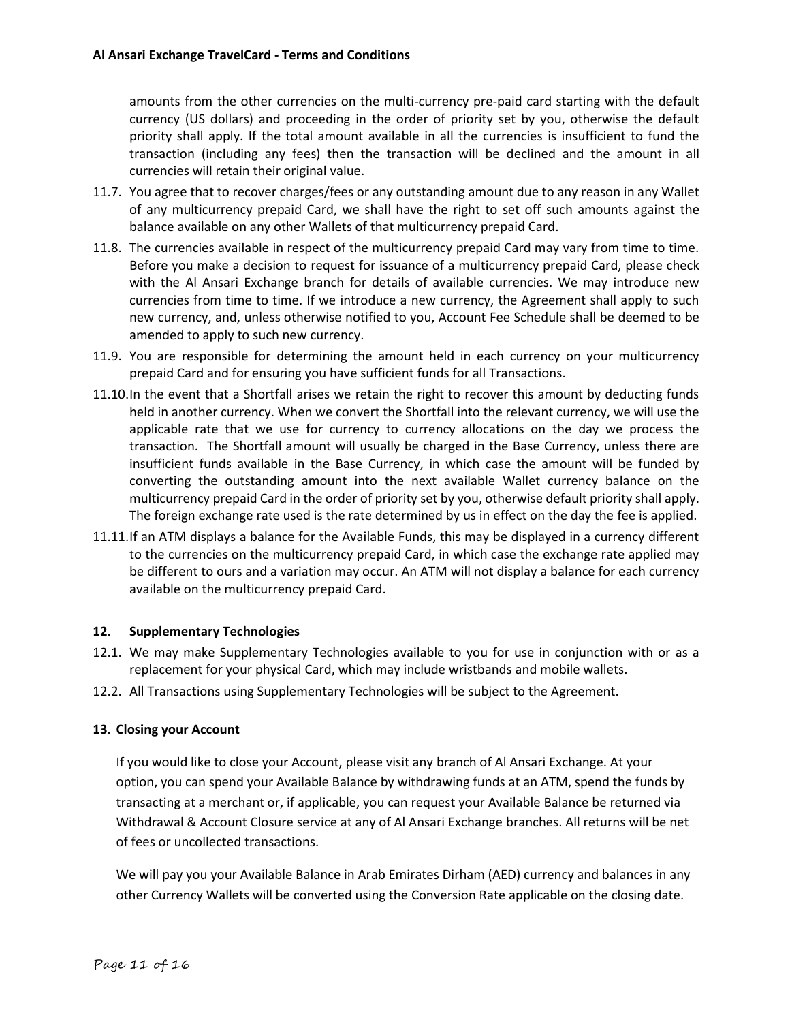amounts from the other currencies on the multi-currency pre-paid card starting with the default currency (US dollars) and proceeding in the order of priority set by you, otherwise the default priority shall apply. If the total amount available in all the currencies is insufficient to fund the transaction (including any fees) then the transaction will be declined and the amount in all currencies will retain their original value.

- 11.7. You agree that to recover charges/fees or any outstanding amount due to any reason in any Wallet of any multicurrency prepaid Card, we shall have the right to set off such amounts against the balance available on any other Wallets of that multicurrency prepaid Card.
- 11.8. The currencies available in respect of the multicurrency prepaid Card may vary from time to time. Before you make a decision to request for issuance of a multicurrency prepaid Card, please check with the Al Ansari Exchange branch for details of available currencies. We may introduce new currencies from time to time. If we introduce a new currency, the Agreement shall apply to such new currency, and, unless otherwise notified to you, Account Fee Schedule shall be deemed to be amended to apply to such new currency.
- 11.9. You are responsible for determining the amount held in each currency on your multicurrency prepaid Card and for ensuring you have sufficient funds for all Transactions.
- 11.10.In the event that a Shortfall arises we retain the right to recover this amount by deducting funds held in another currency. When we convert the Shortfall into the relevant currency, we will use the applicable rate that we use for currency to currency allocations on the day we process the transaction. The Shortfall amount will usually be charged in the Base Currency, unless there are insufficient funds available in the Base Currency, in which case the amount will be funded by converting the outstanding amount into the next available Wallet currency balance on the multicurrency prepaid Card in the order of priority set by you, otherwise default priority shall apply. The foreign exchange rate used is the rate determined by us in effect on the day the fee is applied.
- 11.11.If an ATM displays a balance for the Available Funds, this may be displayed in a currency different to the currencies on the multicurrency prepaid Card, in which case the exchange rate applied may be different to ours and a variation may occur. An ATM will not display a balance for each currency available on the multicurrency prepaid Card.

## **12. Supplementary Technologies**

- 12.1. We may make Supplementary Technologies available to you for use in conjunction with or as a replacement for your physical Card, which may include wristbands and mobile wallets.
- 12.2. All Transactions using Supplementary Technologies will be subject to the Agreement.

#### **13. Closing your Account**

If you would like to close your Account, please visit any branch of Al Ansari Exchange. At your option, you can spend your Available Balance by withdrawing funds at an ATM, spend the funds by transacting at a merchant or, if applicable, you can request your Available Balance be returned via Withdrawal & Account Closure service at any of Al Ansari Exchange branches. All returns will be net of fees or uncollected transactions.

We will pay you your Available Balance in Arab Emirates Dirham (AED) currency and balances in any other Currency Wallets will be converted using the Conversion Rate applicable on the closing date.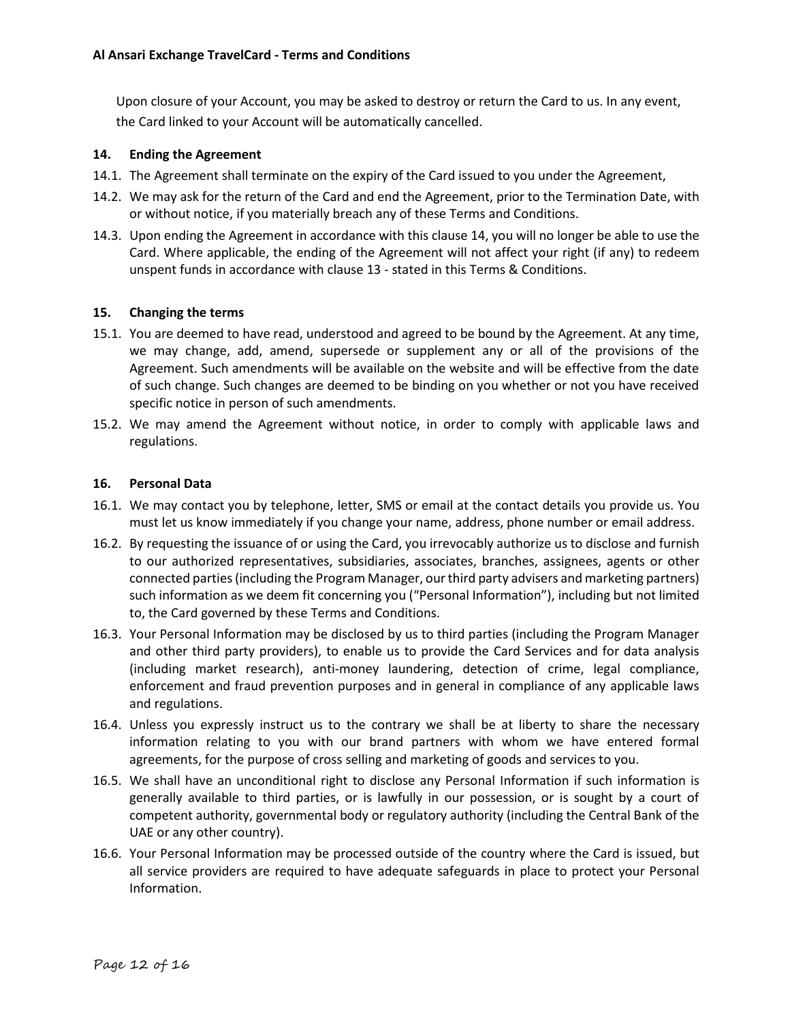Upon closure of your Account, you may be asked to destroy or return the Card to us. In any event, the Card linked to your Account will be automatically cancelled.

### <span id="page-11-0"></span>**14. Ending the Agreement**

- 14.1. The Agreement shall terminate on the expiry of the Card issued to you under the Agreement,
- 14.2. We may ask for the return of the Card and end the Agreement, prior to the Termination Date, with or without notice, if you materially breach any of these Terms and Conditions.
- 14.3. Upon ending the Agreement in accordance with this clause [14,](#page-11-0) you will no longer be able to use the Card. Where applicable, the ending of the Agreement will not affect your right (if any) to redeem unspent funds in accordance with clause 13 - stated in this Terms & Conditions.

### **15. Changing the terms**

- 15.1. You are deemed to have read, understood and agreed to be bound by the Agreement. At any time, we may change, add, amend, supersede or supplement any or all of the provisions of the Agreement. Such amendments will be available on the website and will be effective from the date of such change. Such changes are deemed to be binding on you whether or not you have received specific notice in person of such amendments.
- 15.2. We may amend the Agreement without notice, in order to comply with applicable laws and regulations.

### **16. Personal Data**

- 16.1. We may contact you by telephone, letter, SMS or email at the contact details you provide us. You must let us know immediately if you change your name, address, phone number or email address.
- 16.2. By requesting the issuance of or using the Card, you irrevocably authorize us to disclose and furnish to our authorized representatives, subsidiaries, associates, branches, assignees, agents or other connected parties (including the Program Manager, our third party advisers and marketing partners) such information as we deem fit concerning you ("Personal Information"), including but not limited to, the Card governed by these Terms and Conditions.
- 16.3. Your Personal Information may be disclosed by us to third parties (including the Program Manager and other third party providers), to enable us to provide the Card Services and for data analysis (including market research), anti-money laundering, detection of crime, legal compliance, enforcement and fraud prevention purposes and in general in compliance of any applicable laws and regulations.
- 16.4. Unless you expressly instruct us to the contrary we shall be at liberty to share the necessary information relating to you with our brand partners with whom we have entered formal agreements, for the purpose of cross selling and marketing of goods and services to you.
- 16.5. We shall have an unconditional right to disclose any Personal Information if such information is generally available to third parties, or is lawfully in our possession, or is sought by a court of competent authority, governmental body or regulatory authority (including the Central Bank of the UAE or any other country).
- 16.6. Your Personal Information may be processed outside of the country where the Card is issued, but all service providers are required to have adequate safeguards in place to protect your Personal Information.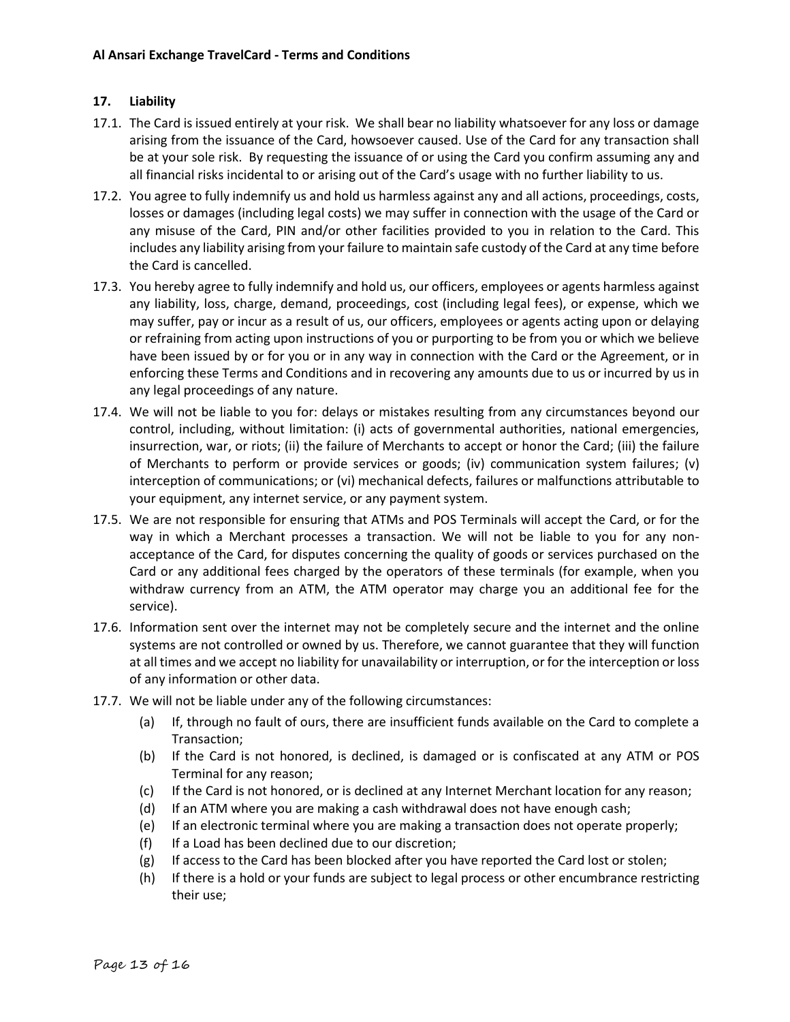## **17. Liability**

- 17.1. The Card is issued entirely at your risk. We shall bear no liability whatsoever for any loss or damage arising from the issuance of the Card, howsoever caused. Use of the Card for any transaction shall be at your sole risk. By requesting the issuance of or using the Card you confirm assuming any and all financial risks incidental to or arising out of the Card's usage with no further liability to us.
- 17.2. You agree to fully indemnify us and hold us harmless against any and all actions, proceedings, costs, losses or damages (including legal costs) we may suffer in connection with the usage of the Card or any misuse of the Card, PIN and/or other facilities provided to you in relation to the Card. This includes any liability arising from your failure to maintain safe custody of the Card at any time before the Card is cancelled.
- 17.3. You hereby agree to fully indemnify and hold us, our officers, employees or agents harmless against any liability, loss, charge, demand, proceedings, cost (including legal fees), or expense, which we may suffer, pay or incur as a result of us, our officers, employees or agents acting upon or delaying or refraining from acting upon instructions of you or purporting to be from you or which we believe have been issued by or for you or in any way in connection with the Card or the Agreement, or in enforcing these Terms and Conditions and in recovering any amounts due to us or incurred by us in any legal proceedings of any nature.
- 17.4. We will not be liable to you for: delays or mistakes resulting from any circumstances beyond our control, including, without limitation: (i) acts of governmental authorities, national emergencies, insurrection, war, or riots; (ii) the failure of Merchants to accept or honor the Card; (iii) the failure of Merchants to perform or provide services or goods; (iv) communication system failures; (v) interception of communications; or (vi) mechanical defects, failures or malfunctions attributable to your equipment, any internet service, or any payment system.
- 17.5. We are not responsible for ensuring that ATMs and POS Terminals will accept the Card, or for the way in which a Merchant processes a transaction. We will not be liable to you for any nonacceptance of the Card, for disputes concerning the quality of goods or services purchased on the Card or any additional fees charged by the operators of these terminals (for example, when you withdraw currency from an ATM, the ATM operator may charge you an additional fee for the service).
- 17.6. Information sent over the internet may not be completely secure and the internet and the online systems are not controlled or owned by us. Therefore, we cannot guarantee that they will function at all times and we accept no liability for unavailability or interruption, or for the interception or loss of any information or other data.
- 17.7. We will not be liable under any of the following circumstances:
	- (a) If, through no fault of ours, there are insufficient funds available on the Card to complete a Transaction;
	- (b) If the Card is not honored, is declined, is damaged or is confiscated at any ATM or POS Terminal for any reason;
	- (c) If the Card is not honored, or is declined at any Internet Merchant location for any reason;
	- (d) If an ATM where you are making a cash withdrawal does not have enough cash;
	- (e) If an electronic terminal where you are making a transaction does not operate properly;
	- (f) If a Load has been declined due to our discretion;
	- (g) If access to the Card has been blocked after you have reported the Card lost or stolen;
	- (h) If there is a hold or your funds are subject to legal process or other encumbrance restricting their use;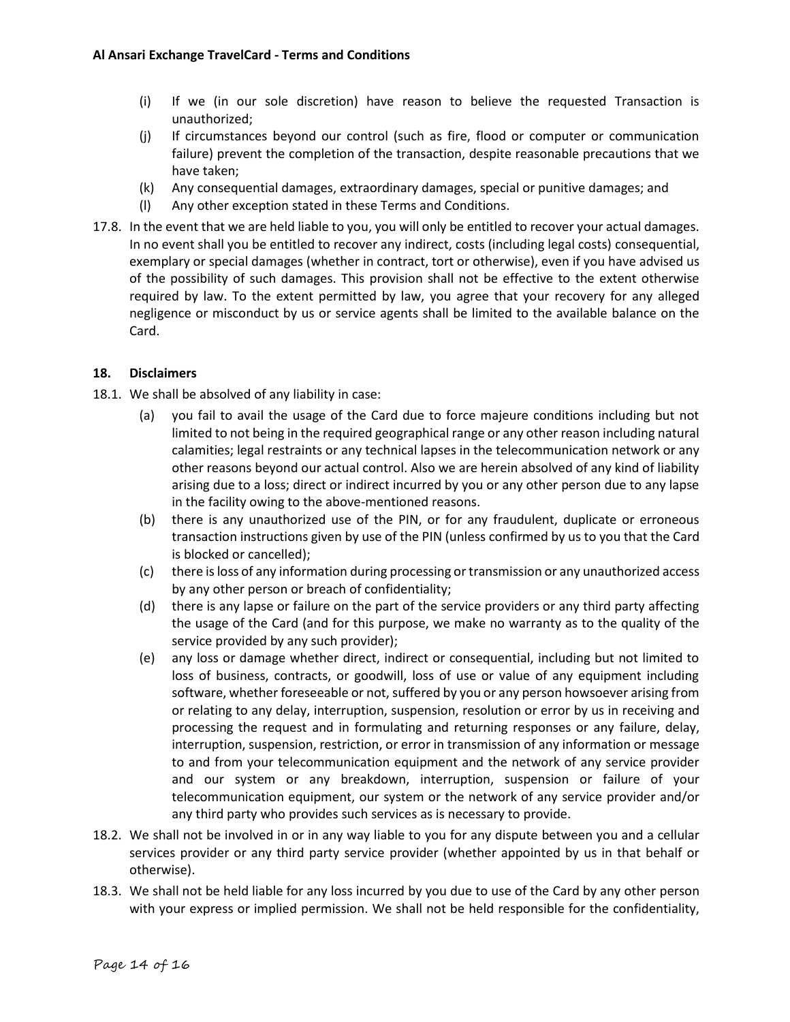- (i) If we (in our sole discretion) have reason to believe the requested Transaction is unauthorized;
- (j) If circumstances beyond our control (such as fire, flood or computer or communication failure) prevent the completion of the transaction, despite reasonable precautions that we have taken;
- (k) Any consequential damages, extraordinary damages, special or punitive damages; and
- (l) Any other exception stated in these Terms and Conditions.
- 17.8. In the event that we are held liable to you, you will only be entitled to recover your actual damages. In no event shall you be entitled to recover any indirect, costs (including legal costs) consequential, exemplary or special damages (whether in contract, tort or otherwise), even if you have advised us of the possibility of such damages. This provision shall not be effective to the extent otherwise required by law. To the extent permitted by law, you agree that your recovery for any alleged negligence or misconduct by us or service agents shall be limited to the available balance on the Card.

## **18. Disclaimers**

- 18.1. We shall be absolved of any liability in case:
	- (a) you fail to avail the usage of the Card due to force majeure conditions including but not limited to not being in the required geographical range or any other reason including natural calamities; legal restraints or any technical lapses in the telecommunication network or any other reasons beyond our actual control. Also we are herein absolved of any kind of liability arising due to a loss; direct or indirect incurred by you or any other person due to any lapse in the facility owing to the above-mentioned reasons.
	- (b) there is any unauthorized use of the PIN, or for any fraudulent, duplicate or erroneous transaction instructions given by use of the PIN (unless confirmed by us to you that the Card is blocked or cancelled);
	- (c) there is loss of any information during processing or transmission or any unauthorized access by any other person or breach of confidentiality;
	- (d) there is any lapse or failure on the part of the service providers or any third party affecting the usage of the Card (and for this purpose, we make no warranty as to the quality of the service provided by any such provider);
	- (e) any loss or damage whether direct, indirect or consequential, including but not limited to loss of business, contracts, or goodwill, loss of use or value of any equipment including software, whether foreseeable or not, suffered by you or any person howsoever arising from or relating to any delay, interruption, suspension, resolution or error by us in receiving and processing the request and in formulating and returning responses or any failure, delay, interruption, suspension, restriction, or error in transmission of any information or message to and from your telecommunication equipment and the network of any service provider and our system or any breakdown, interruption, suspension or failure of your telecommunication equipment, our system or the network of any service provider and/or any third party who provides such services as is necessary to provide.
- 18.2. We shall not be involved in or in any way liable to you for any dispute between you and a cellular services provider or any third party service provider (whether appointed by us in that behalf or otherwise).
- 18.3. We shall not be held liable for any loss incurred by you due to use of the Card by any other person with your express or implied permission. We shall not be held responsible for the confidentiality,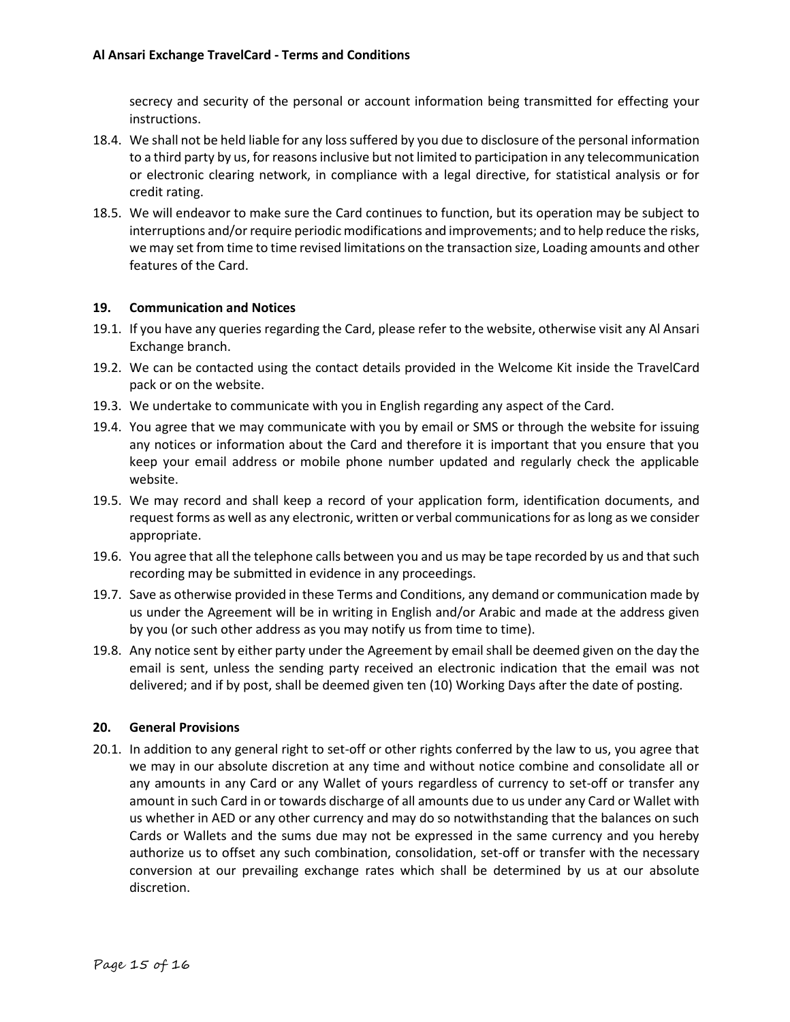secrecy and security of the personal or account information being transmitted for effecting your instructions.

- 18.4. We shall not be held liable for any loss suffered by you due to disclosure of the personal information to a third party by us, for reasons inclusive but not limited to participation in any telecommunication or electronic clearing network, in compliance with a legal directive, for statistical analysis or for credit rating.
- 18.5. We will endeavor to make sure the Card continues to function, but its operation may be subject to interruptions and/or require periodic modifications and improvements; and to help reduce the risks, we may set from time to time revised limitations on the transaction size, Loading amounts and other features of the Card.

### **19. Communication and Notices**

- 19.1. If you have any queries regarding the Card, please refer to the website, otherwise visit any Al Ansari Exchange branch.
- 19.2. We can be contacted using the contact details provided in the Welcome Kit inside the TravelCard pack or on the website.
- 19.3. We undertake to communicate with you in English regarding any aspect of the Card.
- 19.4. You agree that we may communicate with you by email or SMS or through the website for issuing any notices or information about the Card and therefore it is important that you ensure that you keep your email address or mobile phone number updated and regularly check the applicable website.
- 19.5. We may record and shall keep a record of your application form, identification documents, and request forms as well as any electronic, written or verbal communications for as long as we consider appropriate.
- 19.6. You agree that all the telephone calls between you and us may be tape recorded by us and that such recording may be submitted in evidence in any proceedings.
- 19.7. Save as otherwise provided in these Terms and Conditions, any demand or communication made by us under the Agreement will be in writing in English and/or Arabic and made at the address given by you (or such other address as you may notify us from time to time).
- 19.8. Any notice sent by either party under the Agreement by email shall be deemed given on the day the email is sent, unless the sending party received an electronic indication that the email was not delivered; and if by post, shall be deemed given ten (10) Working Days after the date of posting.

## **20. General Provisions**

20.1. In addition to any general right to set-off or other rights conferred by the law to us, you agree that we may in our absolute discretion at any time and without notice combine and consolidate all or any amounts in any Card or any Wallet of yours regardless of currency to set-off or transfer any amount in such Card in or towards discharge of all amounts due to us under any Card or Wallet with us whether in AED or any other currency and may do so notwithstanding that the balances on such Cards or Wallets and the sums due may not be expressed in the same currency and you hereby authorize us to offset any such combination, consolidation, set-off or transfer with the necessary conversion at our prevailing exchange rates which shall be determined by us at our absolute discretion.